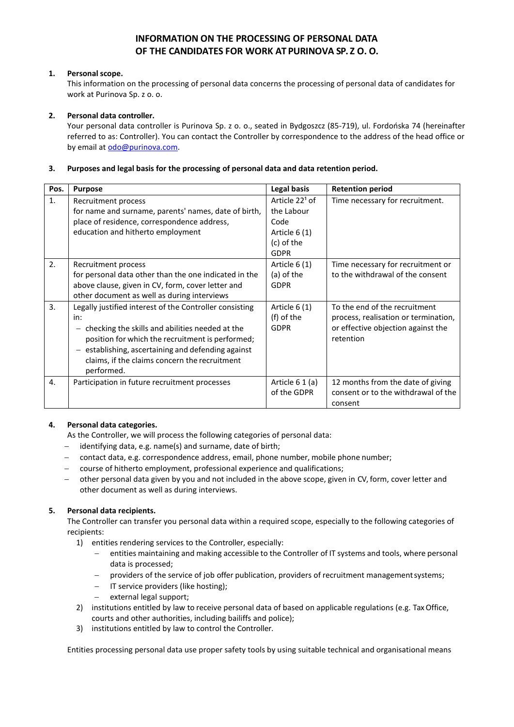# **INFORMATION ON THE PROCESSING OF PERSONAL DATA OF THE CANDIDATES FOR WORK AT PURINOVA SP. Z O. O.**

# **1. Personal scope.**

This information on the processing of personal data concerns the processing of personal data of candidates for work at Purinova Sp. z o. o.

## **2. Personal data controller.**

Your personal data controller is Purinova Sp. z o. o., seated in Bydgoszcz (85-719), ul. Fordońska 74 (hereinafter referred to as: Controller). You can contact the Controller by correspondence to the address of the head office or by email at [odo@purinova.com.](mailto:odo@purinova.com)

### **3. Purposes and legal basis for the processing of personal data and data retention period.**

| Pos. | <b>Purpose</b>                                          | Legal basis                | <b>Retention period</b>              |
|------|---------------------------------------------------------|----------------------------|--------------------------------------|
| 1.   | Recruitment process                                     | Article 22 <sup>1</sup> of | Time necessary for recruitment.      |
|      | for name and surname, parents' names, date of birth,    | the Labour                 |                                      |
|      | place of residence, correspondence address,             | Code                       |                                      |
|      | education and hitherto employment                       | Article 6 (1)              |                                      |
|      |                                                         | (c) of the                 |                                      |
|      |                                                         | <b>GDPR</b>                |                                      |
| 2.   | Recruitment process                                     | Article 6 (1)              | Time necessary for recruitment or    |
|      | for personal data other than the one indicated in the   | (a) of the                 | to the withdrawal of the consent     |
|      | above clause, given in CV, form, cover letter and       | <b>GDPR</b>                |                                      |
|      | other document as well as during interviews             |                            |                                      |
| 3.   | Legally justified interest of the Controller consisting | Article 6 (1)              | To the end of the recruitment        |
|      | in:                                                     | (f) of the                 | process, realisation or termination, |
|      | checking the skills and abilities needed at the         | <b>GDPR</b>                | or effective objection against the   |
|      | position for which the recruitment is performed;        |                            | retention                            |
|      | establishing, ascertaining and defending against        |                            |                                      |
|      | claims, if the claims concern the recruitment           |                            |                                      |
|      | performed.                                              |                            |                                      |
| 4.   | Participation in future recruitment processes           | Article 6 1 (a)            | 12 months from the date of giving    |
|      |                                                         | of the GDPR                | consent or to the withdrawal of the  |
|      |                                                         |                            | consent                              |

## **4. Personal data categories.**

As the Controller, we will process the following categories of personal data:

- − identifying data, e.g. name(s) and surname, date of birth;
- − contact data, e.g. correspondence address, email, phone number, mobile phone number;
- − course of hitherto employment, professional experience and qualifications;
- − other personal data given by you and not included in the above scope, given in CV, form, cover letter and other document as well as during interviews.

## **5. Personal data recipients.**

The Controller can transfer you personal data within a required scope, especially to the following categories of recipients:

- 1) entities rendering services to the Controller, especially:
	- − entities maintaining and making accessible to the Controller of IT systems and tools, where personal data is processed;
	- − providers of the service of job offer publication, providers of recruitment managementsystems;
	- − IT service providers (like hosting);
	- external legal support;
- 2) institutions entitled by law to receive personal data of based on applicable regulations (e.g. Tax Office, courts and other authorities, including bailiffs and police);
- 3) institutions entitled by law to control the Controller.

Entities processing personal data use proper safety tools by using suitable technical and organisational means